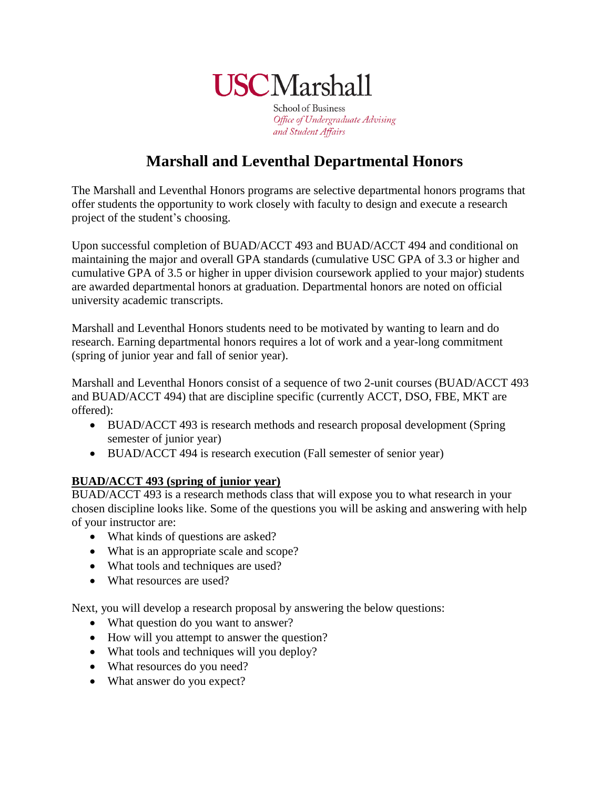

**School of Business** Office of Undergraduate Advising and Student Affairs

# **Marshall and Leventhal Departmental Honors**

The Marshall and Leventhal Honors programs are selective departmental honors programs that offer students the opportunity to work closely with faculty to design and execute a research project of the student's choosing.

Upon successful completion of BUAD/ACCT 493 and BUAD/ACCT 494 and conditional on maintaining the major and overall GPA standards (cumulative USC GPA of 3.3 or higher and cumulative GPA of 3.5 or higher in upper division coursework applied to your major) students are awarded departmental honors at graduation. Departmental honors are noted on official university academic transcripts.

Marshall and Leventhal Honors students need to be motivated by wanting to learn and do research. Earning departmental honors requires a lot of work and a year-long commitment (spring of junior year and fall of senior year).

Marshall and Leventhal Honors consist of a sequence of two 2-unit courses (BUAD/ACCT 493 and BUAD/ACCT 494) that are discipline specific (currently ACCT, DSO, FBE, MKT are offered):

- BUAD/ACCT 493 is research methods and research proposal development (Spring semester of junior year)
- BUAD/ACCT 494 is research execution (Fall semester of senior year)

### **BUAD/ACCT 493 (spring of junior year)**

BUAD/ACCT 493 is a research methods class that will expose you to what research in your chosen discipline looks like. Some of the questions you will be asking and answering with help of your instructor are:

- What kinds of questions are asked?
- What is an appropriate scale and scope?
- What tools and techniques are used?
- What resources are used?

Next, you will develop a research proposal by answering the below questions:

- What question do you want to answer?
- How will you attempt to answer the question?
- What tools and techniques will you deploy?
- What resources do you need?
- What answer do you expect?